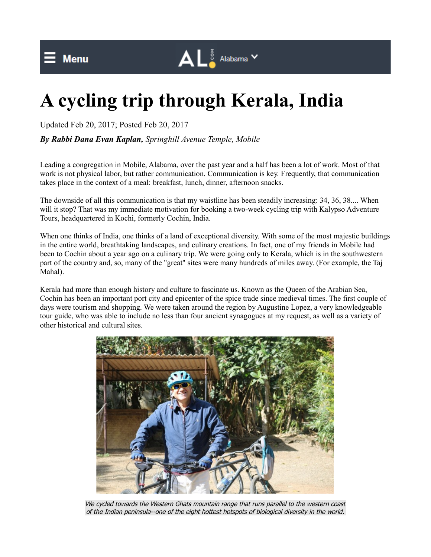## **A cycling trip through Kerala, India**

Updated Feb 20, 2017; Posted Feb 20, 2017

*By Rabbi Dana Evan Kaplan, Springhill Avenue Temple, Mobile*

Leading a congregation in Mobile, Alabama, over the past year and a half has been a lot of work. Most of that work is not physical labor, but rather communication. Communication is key. Frequently, that communication takes place in the context of a meal: breakfast, lunch, dinner, afternoon snacks.

 $\mathbf{A} \mathbf{L}^{\frac{1}{8}}$  Alabama  $\mathbf{v}$ 

The downside of all this communication is that my waistline has been steadily increasing: 34, 36, 38.... When will it stop? That was my immediate motivation for booking a two-week cycling trip with Kalypso Adventure Tours, headquartered in Kochi, formerly Cochin, India.

When one thinks of India, one thinks of a land of exceptional diversity. With some of the most majestic buildings in the entire world, breathtaking landscapes, and culinary creations. In fact, one of my friends in Mobile had been to Cochin about a year ago on a culinary trip. We were going only to Kerala, which is in the southwestern part of the country and, so, many of the "great" sites were many hundreds of miles away. (For example, the Taj Mahal).

Kerala had more than enough history and culture to fascinate us. Known as the Queen of the Arabian Sea, Cochin has been an important port city and epicenter of the spice trade since medieval times. The first couple of days were tourism and shopping. We were taken around the region by Augustine Lopez, a very knowledgeable tour guide, who was able to include no less than four ancient synagogues at my request, as well as a variety of other historical and cultural sites.



We cycled towards the Western Ghats mountain range that runs parallel to the western coast of the Indian peninsula--one of the eight hottest hotspots of biological diversity in the world.